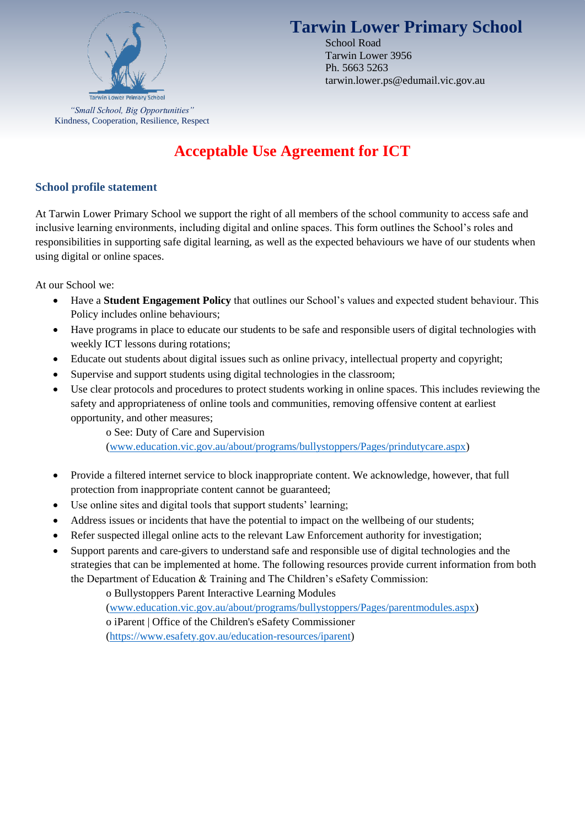

# **Tarwin Lower Primary School**

School Road Tarwin Lower 3956 Ph. 5663 5263 tarwin.lower.ps@edumail.vic.gov.au

*"Small School, Big Opportunities"* Kindness, Cooperation, Resilience, Respect

# **Acceptable Use Agreement for ICT**

## **School profile statement**

At Tarwin Lower Primary School we support the right of all members of the school community to access safe and inclusive learning environments, including digital and online spaces. This form outlines the School's roles and responsibilities in supporting safe digital learning, as well as the expected behaviours we have of our students when using digital or online spaces.

At our School we:

- Have a **Student Engagement Policy** that outlines our School's values and expected student behaviour. This Policy includes online behaviours;
- Have programs in place to educate our students to be safe and responsible users of digital technologies with weekly ICT lessons during rotations;
- Educate out students about digital issues such as online privacy, intellectual property and copyright;
- Supervise and support students using digital technologies in the classroom;
- Use clear protocols and procedures to protect students working in online spaces. This includes reviewing the safety and appropriateness of online tools and communities, removing offensive content at earliest opportunity, and other measures;

o See: Duty of Care and Supervision [\(www.education.vic.gov.au/about/programs/bullystoppers/Pages/prindutycare.aspx\)](http://www.education.vic.gov.au/about/programs/bullystoppers/Pages/prindutycare.aspx)

- Provide a filtered internet service to block inappropriate content. We acknowledge, however, that full protection from inappropriate content cannot be guaranteed;
- Use online sites and digital tools that support students' learning;
- Address issues or incidents that have the potential to impact on the wellbeing of our students;
- Refer suspected illegal online acts to the relevant Law Enforcement authority for investigation;
- Support parents and care-givers to understand safe and responsible use of digital technologies and the strategies that can be implemented at home. The following resources provide current information from both the Department of Education & Training and The Children's eSafety Commission:

o Bullystoppers Parent Interactive Learning Modules [\(www.education.vic.gov.au/about/programs/bullystoppers/Pages/parentmodules.aspx\)](http://www.education.vic.gov.au/about/programs/bullystoppers/Pages/parentmodules.aspx) o iParent | Office of the Children's eSafety Commissioner [\(https://www.esafety.gov.au/education-resources/iparent\)](https://www.esafety.gov.au/education-resources/iparent)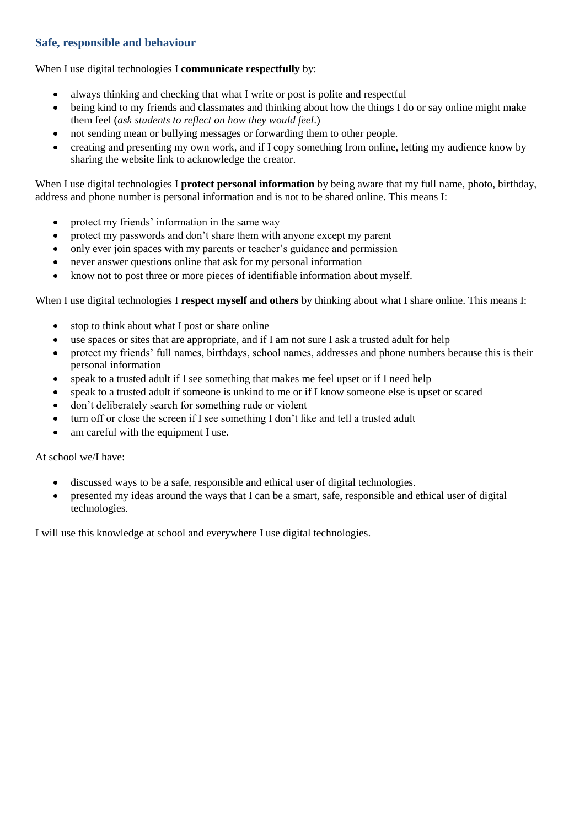### **Safe, responsible and behaviour**

#### When I use digital technologies I **communicate respectfully** by:

- always thinking and checking that what I write or post is polite and respectful
- being kind to my friends and classmates and thinking about how the things I do or say online might make them feel (*ask students to reflect on how they would feel*.)
- not sending mean or bullying messages or forwarding them to other people.
- creating and presenting my own work, and if I copy something from online, letting my audience know by sharing the website link to acknowledge the creator.

When I use digital technologies I **protect personal information** by being aware that my full name, photo, birthday, address and phone number is personal information and is not to be shared online. This means I:

- protect my friends' information in the same way
- protect my passwords and don't share them with anyone except my parent
- only ever join spaces with my parents or teacher's guidance and permission
- never answer questions online that ask for my personal information
- know not to post three or more pieces of identifiable information about myself.

When I use digital technologies I **respect myself and others** by thinking about what I share online. This means I:

- stop to think about what I post or share online
- use spaces or sites that are appropriate, and if I am not sure I ask a trusted adult for help
- protect my friends' full names, birthdays, school names, addresses and phone numbers because this is their personal information
- speak to a trusted adult if I see something that makes me feel upset or if I need help
- speak to a trusted adult if someone is unkind to me or if I know someone else is upset or scared
- don't deliberately search for something rude or violent
- turn off or close the screen if I see something I don't like and tell a trusted adult
- am careful with the equipment I use.

At school we/I have:

- discussed ways to be a safe, responsible and ethical user of digital technologies.
- presented my ideas around the ways that I can be a smart, safe, responsible and ethical user of digital technologies.

I will use this knowledge at school and everywhere I use digital technologies.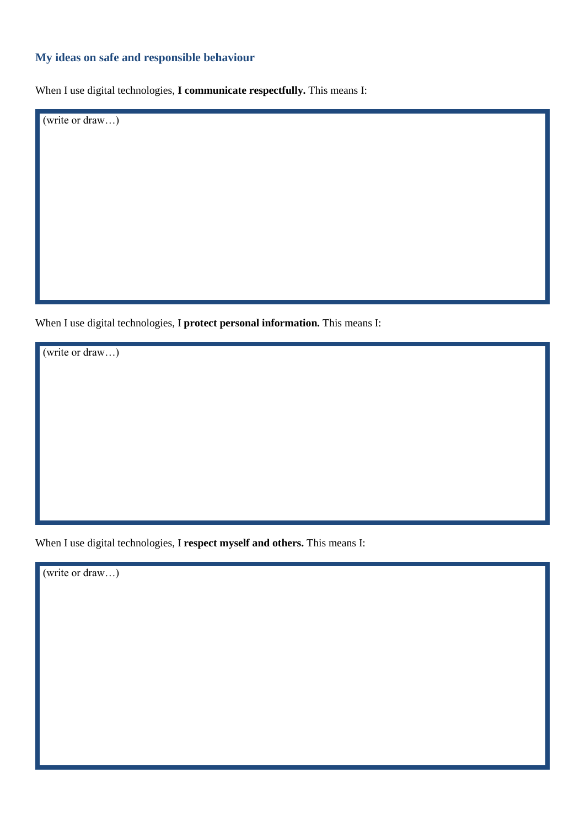# **My ideas on safe and responsible behaviour**

When I use digital technologies, **I communicate respectfully.** This means I:

(write or draw…)

When I use digital technologies, I **protect personal information.** This means I:

(write or draw…)

When I use digital technologies, I **respect myself and others.** This means I:

(write or draw…)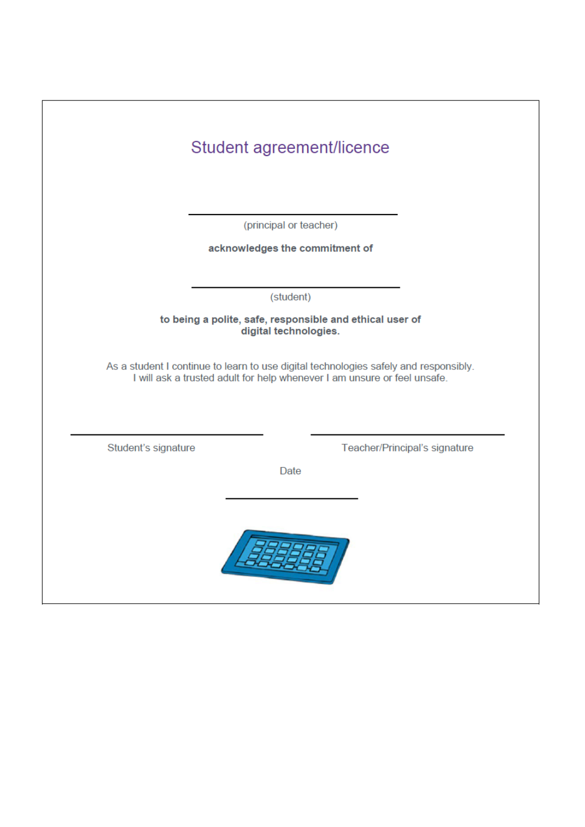|                                                                                   | Student agreement/licence                                                                                                                                        |                               |
|-----------------------------------------------------------------------------------|------------------------------------------------------------------------------------------------------------------------------------------------------------------|-------------------------------|
|                                                                                   | (principal or teacher)                                                                                                                                           |                               |
|                                                                                   | acknowledges the commitment of                                                                                                                                   |                               |
|                                                                                   |                                                                                                                                                                  |                               |
|                                                                                   | (student)                                                                                                                                                        |                               |
| to being a polite, safe, responsible and ethical user of<br>digital technologies. |                                                                                                                                                                  |                               |
|                                                                                   | As a student I continue to learn to use digital technologies safely and responsibly.<br>I will ask a trusted adult for help whenever I am unsure or feel unsafe. |                               |
| Student's signature                                                               |                                                                                                                                                                  | Teacher/Principal's signature |
| Date                                                                              |                                                                                                                                                                  |                               |
|                                                                                   |                                                                                                                                                                  |                               |